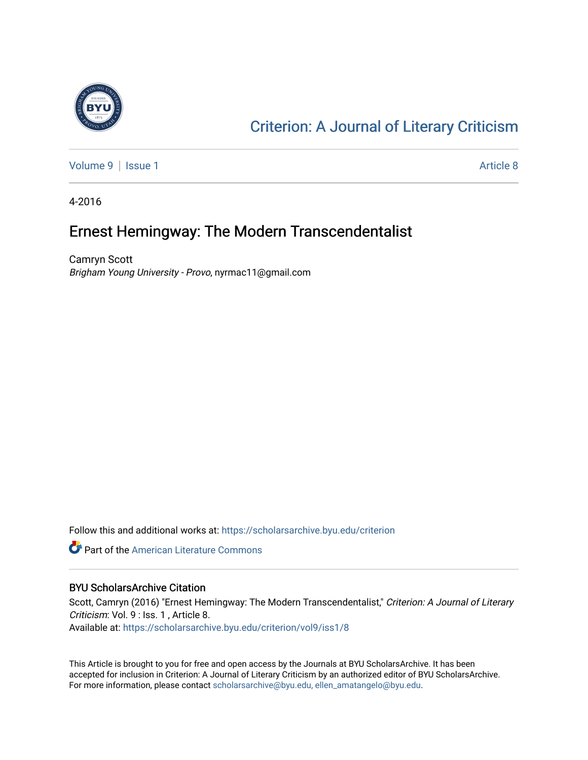

## [Criterion: A Journal of Literary Criticism](https://scholarsarchive.byu.edu/criterion)

[Volume 9](https://scholarsarchive.byu.edu/criterion/vol9) | [Issue 1](https://scholarsarchive.byu.edu/criterion/vol9/iss1) Article 8

4-2016

### Ernest Hemingway: The Modern Transcendentalist

Camryn Scott Brigham Young University - Provo, nyrmac11@gmail.com

Follow this and additional works at: [https://scholarsarchive.byu.edu/criterion](https://scholarsarchive.byu.edu/criterion?utm_source=scholarsarchive.byu.edu%2Fcriterion%2Fvol9%2Fiss1%2F8&utm_medium=PDF&utm_campaign=PDFCoverPages) 

**Part of the [American Literature Commons](http://network.bepress.com/hgg/discipline/441?utm_source=scholarsarchive.byu.edu%2Fcriterion%2Fvol9%2Fiss1%2F8&utm_medium=PDF&utm_campaign=PDFCoverPages)** 

#### BYU ScholarsArchive Citation

Scott, Camryn (2016) "Ernest Hemingway: The Modern Transcendentalist," Criterion: A Journal of Literary Criticism: Vol. 9 : Iss. 1 , Article 8. Available at: [https://scholarsarchive.byu.edu/criterion/vol9/iss1/8](https://scholarsarchive.byu.edu/criterion/vol9/iss1/8?utm_source=scholarsarchive.byu.edu%2Fcriterion%2Fvol9%2Fiss1%2F8&utm_medium=PDF&utm_campaign=PDFCoverPages) 

This Article is brought to you for free and open access by the Journals at BYU ScholarsArchive. It has been accepted for inclusion in Criterion: A Journal of Literary Criticism by an authorized editor of BYU ScholarsArchive. For more information, please contact [scholarsarchive@byu.edu, ellen\\_amatangelo@byu.edu](mailto:scholarsarchive@byu.edu,%20ellen_amatangelo@byu.edu).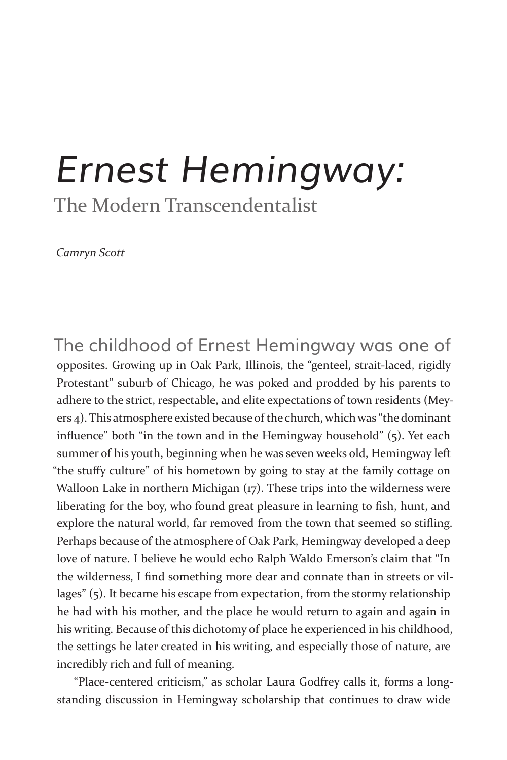# *Ernest Hemingway:*

The Modern Transcendentalist

*Camryn Scott*

The childhood of Ernest Hemingway was one of opposites. Growing up in Oak Park, Illinois, the "genteel, strait-laced, rigidly Protestant" suburb of Chicago, he was poked and prodded by his parents to adhere to the strict, respectable, and elite expectations of town residents (Meyers 4). This atmosphere existed because of the church, which was "the dominant influence" both "in the town and in the Hemingway household" (5). Yet each summer of his youth, beginning when he was seven weeks old, Hemingway left "the stuffy culture" of his hometown by going to stay at the family cottage on Walloon Lake in northern Michigan (17). These trips into the wilderness were liberating for the boy, who found great pleasure in learning to fish, hunt, and explore the natural world, far removed from the town that seemed so stifling. Perhaps because of the atmosphere of Oak Park, Hemingway developed a deep love of nature. I believe he would echo Ralph Waldo Emerson's claim that "In the wilderness, I find something more dear and connate than in streets or villages" (5). It became his escape from expectation, from the stormy relationship he had with his mother, and the place he would return to again and again in his writing. Because of this dichotomy of place he experienced in his childhood, the settings he later created in his writing, and especially those of nature, are incredibly rich and full of meaning.

"Place-centered criticism," as scholar Laura Godfrey calls it, forms a longstanding discussion in Hemingway scholarship that continues to draw wide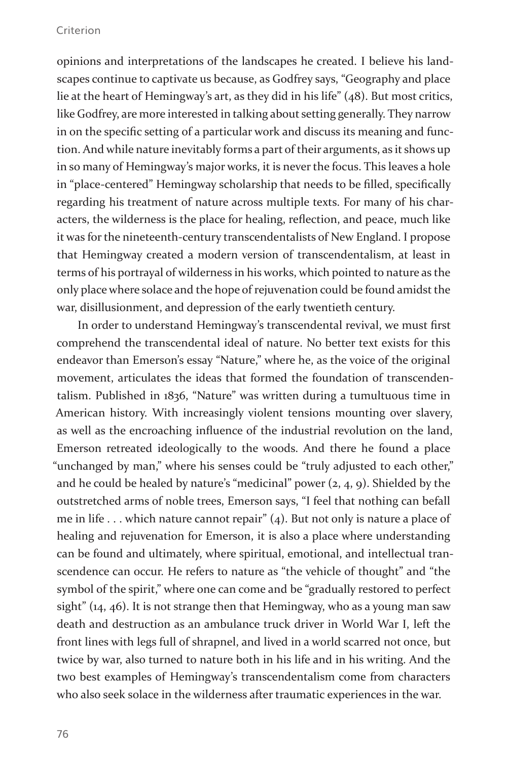#### Criterion

opinions and interpretations of the landscapes he created. I believe his landscapes continue to captivate us because, as Godfrey says, "Geography and place lie at the heart of Hemingway's art, as they did in his life" (48). But most critics, like Godfrey, are more interested in talking about setting generally. They narrow in on the specific setting of a particular work and discuss its meaning and function. And while nature inevitably forms a part of their arguments, as it shows up in so many of Hemingway's major works, it is never the focus. This leaves a hole in "place-centered" Hemingway scholarship that needs to be filled, specifically regarding his treatment of nature across multiple texts. For many of his characters, the wilderness is the place for healing, reflection, and peace, much like it was for the nineteenth-century transcendentalists of New England. I propose that Hemingway created a modern version of transcendentalism, at least in terms of his portrayal of wilderness in his works, which pointed to nature as the only place where solace and the hope of rejuvenation could be found amidst the war, disillusionment, and depression of the early twentieth century.

In order to understand Hemingway's transcendental revival, we must first comprehend the transcendental ideal of nature. No better text exists for this endeavor than Emerson's essay "Nature," where he, as the voice of the original movement, articulates the ideas that formed the foundation of transcendentalism. Published in 1836, "Nature" was written during a tumultuous time in American history. With increasingly violent tensions mounting over slavery, as well as the encroaching influence of the industrial revolution on the land, Emerson retreated ideologically to the woods. And there he found a place "unchanged by man," where his senses could be "truly adjusted to each other," and he could be healed by nature's "medicinal" power (2, 4, 9). Shielded by the outstretched arms of noble trees, Emerson says, "I feel that nothing can befall me in life . . . which nature cannot repair" (4). But not only is nature a place of healing and rejuvenation for Emerson, it is also a place where understanding can be found and ultimately, where spiritual, emotional, and intellectual transcendence can occur. He refers to nature as "the vehicle of thought" and "the symbol of the spirit," where one can come and be "gradually restored to perfect sight" (14, 46). It is not strange then that Hemingway, who as a young man saw death and destruction as an ambulance truck driver in World War I, left the front lines with legs full of shrapnel, and lived in a world scarred not once, but twice by war, also turned to nature both in his life and in his writing. And the two best examples of Hemingway's transcendentalism come from characters who also seek solace in the wilderness after traumatic experiences in the war.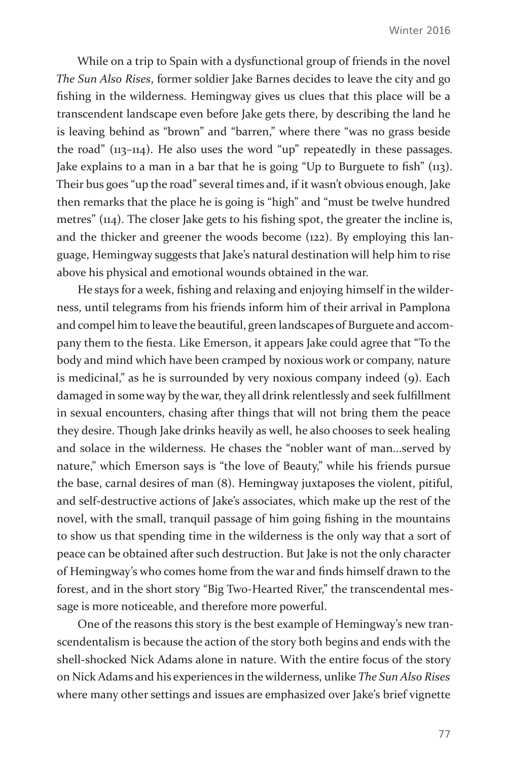While on a trip to Spain with a dysfunctional group of friends in the novel *The Sun Also Rises*, former soldier Jake Barnes decides to leave the city and go fishing in the wilderness. Hemingway gives us clues that this place will be a transcendent landscape even before Jake gets there, by describing the land he is leaving behind as "brown" and "barren," where there "was no grass beside the road" (113–114). He also uses the word "up" repeatedly in these passages. Jake explains to a man in a bar that he is going "Up to Burguete to fish" (113). Their bus goes "up the road" several times and, if it wasn't obvious enough, Jake then remarks that the place he is going is "high" and "must be twelve hundred metres" (114). The closer Jake gets to his fishing spot, the greater the incline is, and the thicker and greener the woods become (122). By employing this language, Hemingway suggests that Jake's natural destination will help him to rise above his physical and emotional wounds obtained in the war.

He stays for a week, fishing and relaxing and enjoying himself in the wilderness, until telegrams from his friends inform him of their arrival in Pamplona and compel him to leave the beautiful, green landscapes of Burguete and accompany them to the fiesta. Like Emerson, it appears Jake could agree that "To the body and mind which have been cramped by noxious work or company, nature is medicinal," as he is surrounded by very noxious company indeed (9). Each damaged in some way by the war, they all drink relentlessly and seek fulfillment in sexual encounters, chasing after things that will not bring them the peace they desire. Though Jake drinks heavily as well, he also chooses to seek healing and solace in the wilderness. He chases the "nobler want of man...served by nature," which Emerson says is "the love of Beauty," while his friends pursue the base, carnal desires of man (8). Hemingway juxtaposes the violent, pitiful, and self-destructive actions of Jake's associates, which make up the rest of the novel, with the small, tranquil passage of him going fishing in the mountains to show us that spending time in the wilderness is the only way that a sort of peace can be obtained after such destruction. But Jake is not the only character of Hemingway's who comes home from the war and finds himself drawn to the forest, and in the short story "Big Two-Hearted River," the transcendental message is more noticeable, and therefore more powerful.

One of the reasons this story is the best example of Hemingway's new transcendentalism is because the action of the story both begins and ends with the shell-shocked Nick Adams alone in nature. With the entire focus of the story on Nick Adams and his experiences in the wilderness, unlike *The Sun Also Rises*  where many other settings and issues are emphasized over Jake's brief vignette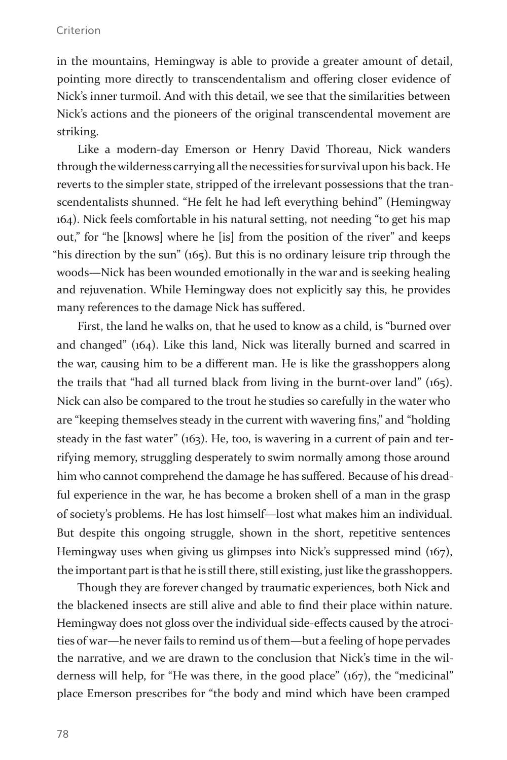#### Criterion

in the mountains, Hemingway is able to provide a greater amount of detail, pointing more directly to transcendentalism and offering closer evidence of Nick's inner turmoil. And with this detail, we see that the similarities between Nick's actions and the pioneers of the original transcendental movement are striking.

Like a modern-day Emerson or Henry David Thoreau, Nick wanders through the wilderness carrying all the necessities for survival upon his back. He reverts to the simpler state, stripped of the irrelevant possessions that the transcendentalists shunned. "He felt he had left everything behind" (Hemingway 164). Nick feels comfortable in his natural setting, not needing "to get his map out," for "he [knows] where he [is] from the position of the river" and keeps "his direction by the sun" (165). But this is no ordinary leisure trip through the woods—Nick has been wounded emotionally in the war and is seeking healing and rejuvenation. While Hemingway does not explicitly say this, he provides many references to the damage Nick has suffered.

First, the land he walks on, that he used to know as a child, is "burned over and changed" (164). Like this land, Nick was literally burned and scarred in the war, causing him to be a different man. He is like the grasshoppers along the trails that "had all turned black from living in the burnt-over land" (165). Nick can also be compared to the trout he studies so carefully in the water who are "keeping themselves steady in the current with wavering fins," and "holding steady in the fast water" (163). He, too, is wavering in a current of pain and terrifying memory, struggling desperately to swim normally among those around him who cannot comprehend the damage he has suffered. Because of his dreadful experience in the war, he has become a broken shell of a man in the grasp of society's problems. He has lost himself—lost what makes him an individual. But despite this ongoing struggle, shown in the short, repetitive sentences Hemingway uses when giving us glimpses into Nick's suppressed mind (167), the important part is that he is still there, still existing, just like the grasshoppers.

Though they are forever changed by traumatic experiences, both Nick and the blackened insects are still alive and able to find their place within nature. Hemingway does not gloss over the individual side-effects caused by the atrocities of war—he never fails to remind us of them—but a feeling of hope pervades the narrative, and we are drawn to the conclusion that Nick's time in the wilderness will help, for "He was there, in the good place" (167), the "medicinal" place Emerson prescribes for "the body and mind which have been cramped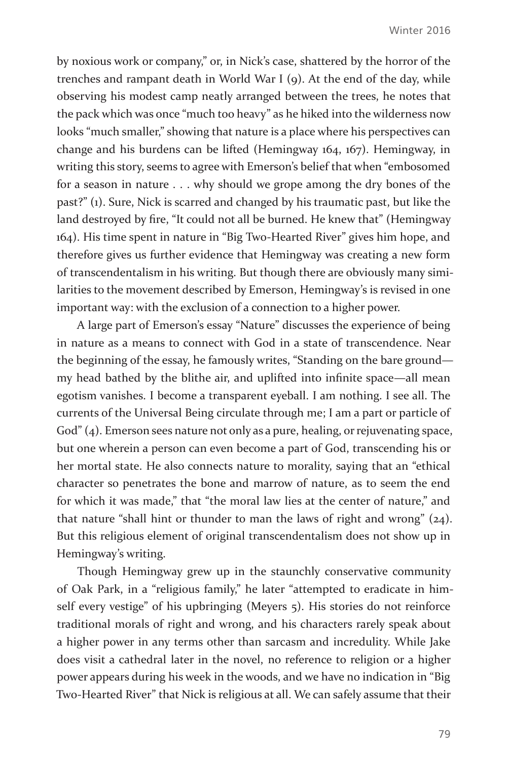by noxious work or company," or, in Nick's case, shattered by the horror of the trenches and rampant death in World War I (9). At the end of the day, while observing his modest camp neatly arranged between the trees, he notes that the pack which was once "much too heavy" as he hiked into the wilderness now looks "much smaller," showing that nature is a place where his perspectives can change and his burdens can be lifted (Hemingway 164, 167). Hemingway, in writing this story, seems to agree with Emerson's belief that when "embosomed for a season in nature . . . why should we grope among the dry bones of the past?" (1). Sure, Nick is scarred and changed by his traumatic past, but like the land destroyed by fire, "It could not all be burned. He knew that" (Hemingway 164). His time spent in nature in "Big Two-Hearted River" gives him hope, and therefore gives us further evidence that Hemingway was creating a new form of transcendentalism in his writing. But though there are obviously many similarities to the movement described by Emerson, Hemingway's is revised in one important way: with the exclusion of a connection to a higher power.

A large part of Emerson's essay "Nature" discusses the experience of being in nature as a means to connect with God in a state of transcendence. Near the beginning of the essay, he famously writes, "Standing on the bare ground my head bathed by the blithe air, and uplifted into infinite space—all mean egotism vanishes. I become a transparent eyeball. I am nothing. I see all. The currents of the Universal Being circulate through me; I am a part or particle of God" (4). Emerson sees nature not only as a pure, healing, or rejuvenating space, but one wherein a person can even become a part of God, transcending his or her mortal state. He also connects nature to morality, saying that an "ethical character so penetrates the bone and marrow of nature, as to seem the end for which it was made," that "the moral law lies at the center of nature," and that nature "shall hint or thunder to man the laws of right and wrong" (24). But this religious element of original transcendentalism does not show up in Hemingway's writing.

Though Hemingway grew up in the staunchly conservative community of Oak Park, in a "religious family," he later "attempted to eradicate in himself every vestige" of his upbringing (Meyers 5). His stories do not reinforce traditional morals of right and wrong, and his characters rarely speak about a higher power in any terms other than sarcasm and incredulity. While Jake does visit a cathedral later in the novel, no reference to religion or a higher power appears during his week in the woods, and we have no indication in "Big Two-Hearted River" that Nick is religious at all. We can safely assume that their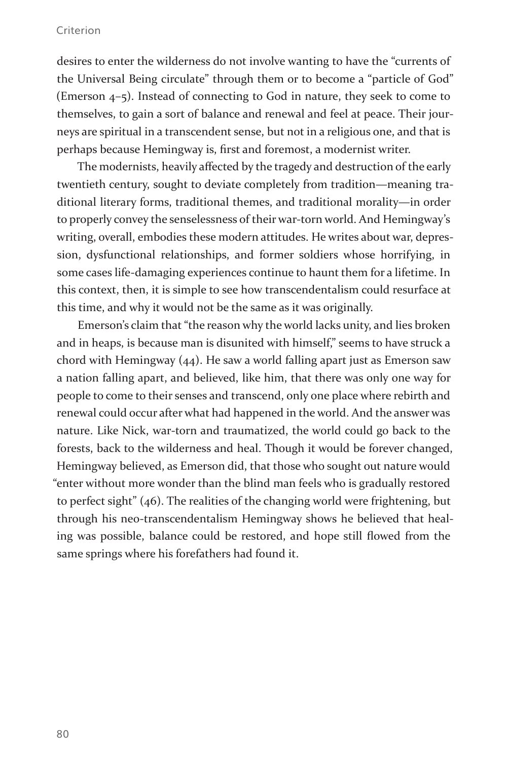#### Criterion

desires to enter the wilderness do not involve wanting to have the "currents of the Universal Being circulate" through them or to become a "particle of God" (Emerson 4–5). Instead of connecting to God in nature, they seek to come to themselves, to gain a sort of balance and renewal and feel at peace. Their journeys are spiritual in a transcendent sense, but not in a religious one, and that is perhaps because Hemingway is, first and foremost, a modernist writer.

The modernists, heavily affected by the tragedy and destruction of the early twentieth century, sought to deviate completely from tradition—meaning traditional literary forms, traditional themes, and traditional morality—in order to properly convey the senselessness of their war-torn world. And Hemingway's writing, overall, embodies these modern attitudes. He writes about war, depression, dysfunctional relationships, and former soldiers whose horrifying, in some cases life-damaging experiences continue to haunt them for a lifetime. In this context, then, it is simple to see how transcendentalism could resurface at this time, and why it would not be the same as it was originally.

Emerson's claim that "the reason why the world lacks unity, and lies broken and in heaps, is because man is disunited with himself," seems to have struck a chord with Hemingway (44). He saw a world falling apart just as Emerson saw a nation falling apart, and believed, like him, that there was only one way for people to come to their senses and transcend, only one place where rebirth and renewal could occur after what had happened in the world. And the answer was nature. Like Nick, war-torn and traumatized, the world could go back to the forests, back to the wilderness and heal. Though it would be forever changed, Hemingway believed, as Emerson did, that those who sought out nature would "enter without more wonder than the blind man feels who is gradually restored to perfect sight" (46). The realities of the changing world were frightening, but through his neo-transcendentalism Hemingway shows he believed that healing was possible, balance could be restored, and hope still flowed from the same springs where his forefathers had found it.